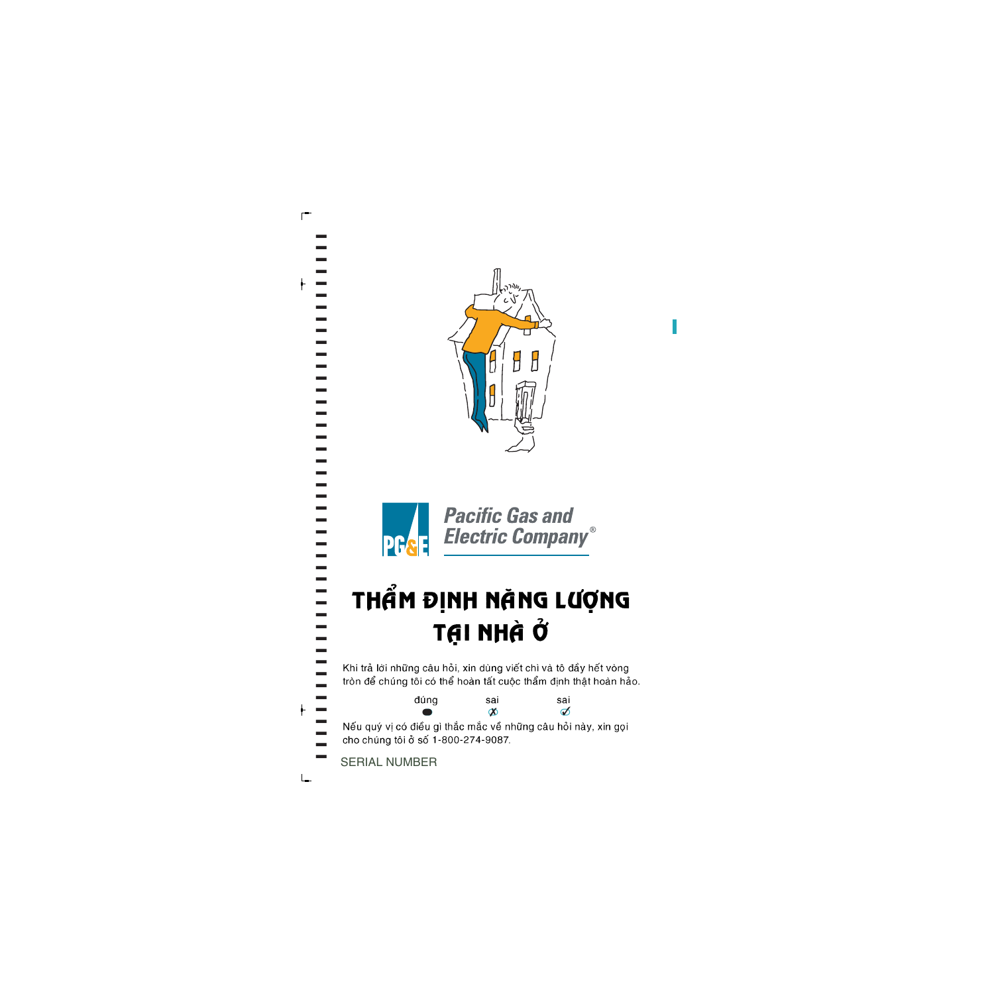



## THẨM ĐỊNH NÀNG LƯỢNG TẠI NHÀ Ở

Khi trả lời những câu hỏi, xin dùng viết chì và tô đầy hết vòng tròn để chúng tôi có thể hoàn tất cuộc thẩm định thật hoàn hảo.

đúng sai sai  $\infty$  $\sigma$ Nếu quý vị có điều gì thắc mắc về những câu hỏi này, xin gọi cho chúng tôi ở số 1-800-274-9087.

**SERIAL NUMBER** 

 $\frac{1}{2}$ 

 $\blacksquare$ 

-----------

------------------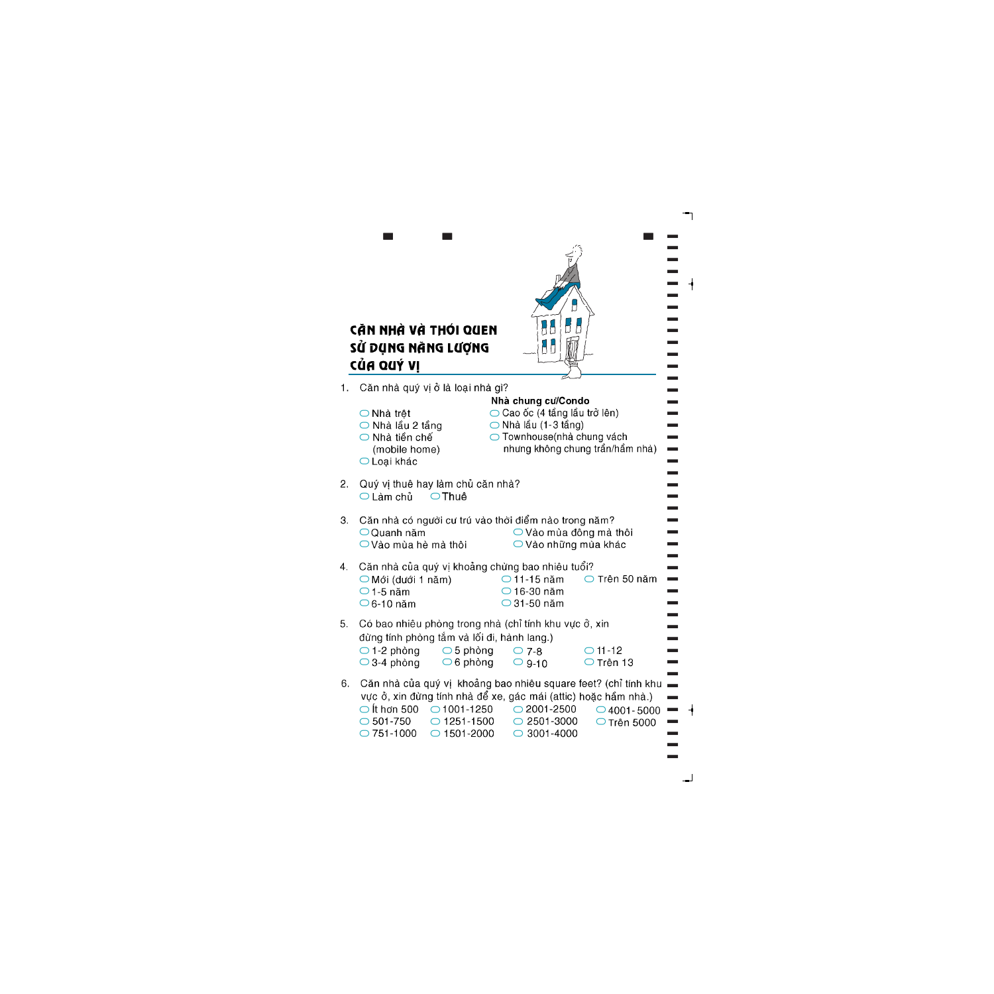

]]]]]]]]]]]]]]]]]]]]]]]]]]]]]]]]]]]]]]]]]]]]]

|    | CÃN NHÀ VÀ THỚI QUEN                                                                                                                                                                                                                                                                                                                                                                          |
|----|-----------------------------------------------------------------------------------------------------------------------------------------------------------------------------------------------------------------------------------------------------------------------------------------------------------------------------------------------------------------------------------------------|
|    | SỨ DỤNG NANG LƯỢNG<br>CỦA QUÝ VI                                                                                                                                                                                                                                                                                                                                                              |
| 1. | Căn nhà quý vị ở là loại nhà gì?                                                                                                                                                                                                                                                                                                                                                              |
|    | Nhà chung cư/Condo<br>$\bigcirc$ Cao ốc (4 tầng lầu trở lên)<br>◯ Nhà trệt<br>$\bigcirc$ Nhà lầu (1-3 tầng)<br>◯ Nhà lầu 2 tầng<br>◯ Townhouse(nhà chung vách<br>◯ Nhà tiền chế<br>nhưng không chung trần/hầm nhà)<br>(mobile home)<br>$\bigcirc$ Loại khác                                                                                                                                   |
| 2. | Quý vị thuê hay làm chủ căn nhà?<br>$\bigcirc$ Thuê<br>$\bigcirc$ Làm chủ                                                                                                                                                                                                                                                                                                                     |
| 3. | Căn nhà có người cư trú vào thời điểm nào trong năm?<br>$\bigcirc$ Vào mùa đông mà thôi<br>$\bigcirc$ Quanh năm<br>$\bigcirc$ Vào mùa hè mà thôi<br>○ Vào những mùa khác                                                                                                                                                                                                                      |
| 4. | Căn nhà của quý vị khoảng chừng bao nhiêu tuổi?<br>$\bigcirc$ Trên 50 năm<br>$\bigcirc$ 11-15 năm<br>$\bigcirc$ Mới (dưới 1 năm)<br>$\bigcirc$ 16-30 năm<br>$\bigcirc$ 1-5 năm<br>$\bigcirc$ 31-50 năm<br>$\bigcirc$ 6-10 năm                                                                                                                                                                 |
| 5. | Có bao nhiêu phòng trong nhà (chỉ tính khu vực ở, xin<br>đừng tính phòng tắm và lối đi, hành lang.)<br>$\bigcirc$ 5 phòng<br>$\bigcirc$ 1-2 phòng<br>$O$ 11 -12<br>$\bigcirc$ 7-8<br>$\bigcirc$ 6 phòng<br>$\bigcirc$ 3-4 phòng<br>$\bigcirc$ Trên 13<br>$\bigcirc$ 9-10                                                                                                                      |
| 6. | Căn nhà của quý vị khoảng bao nhiêu square feet? (chỉ tính khu<br>vực ở, xin đừng tính nhà để xe, gác mái (attic) hoặc hầm nhà.)<br>$\bigcirc$ it hơn 500<br>$\bigcirc$ 1001-1250<br>$\bigcirc$ 2001-2500<br>$\bigcirc$ 4001 - 5000<br>$\bigcirc$ 1251-1500<br>$\bigcirc$ 2501-3000<br>$\bigcirc$ 501-750<br>$\bigcirc$ Trên 5000<br>$\bigcirc$ 1501-2000<br>3001-4000<br>$\bigcirc$ 751-1000 |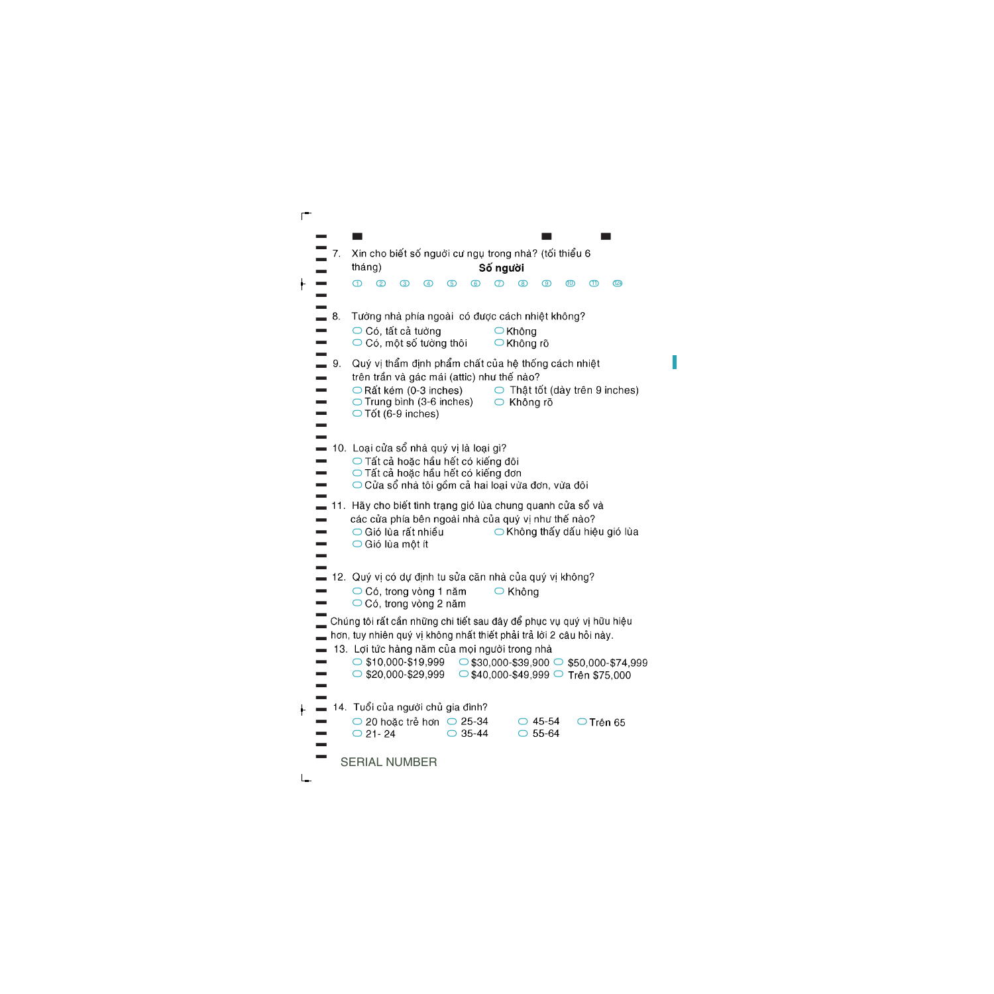| 7.                | Xin cho biết số nguời cư ngụ trong nhà? (tối thiểu 6<br>Số người<br>tháng)                                                                                                                                                                                                                                                                              |
|-------------------|---------------------------------------------------------------------------------------------------------------------------------------------------------------------------------------------------------------------------------------------------------------------------------------------------------------------------------------------------------|
|                   | −<br>$^{\circledR}$<br>ന<br>②<br>൫<br>ග<br>൫<br>൚<br>൫<br>៙<br>ൕ<br>(4)                                                                                                                                                                                                                                                                                 |
| $\blacksquare$ 8. | Tường nhà phía ngoài có được cách nhiệt không?<br>$\bigcirc$ Có, tất cả tường<br>$\bigcirc$ Không<br>$\bigcirc$ Có, một số tường thôi<br>◯ Không rõ                                                                                                                                                                                                     |
| 9.                | Quý vị thẩm định phẩm chất của hệ thống cách nhiệt<br>trên trần và gác mái (attic) như thế nào?<br>$\circlearrowright$ Thật tốt (dày trên 9 inches)<br>$\bigcirc$ Rất kém (0-3 inches)<br>○ Trung bình (3-6 inches) ○ Không rõ<br>$\bigcirc$ Tốt (6-9 inches)                                                                                           |
|                   | 10. Loại cửa sổ nhà quý vị là loại gì?<br>○ Tất cả hoặc hầu hết có kiếng đôi<br>◯ Tất cả hoặc hầu hết có kiếng đơn<br>$\bigcirc$ Cửa sổ nhà tôi gồm cả hai loại vừa đơn, vừa đôi                                                                                                                                                                        |
|                   | 11. Hãy cho biết tình trạng gió lùa chung quanh cửa số và<br>các cửa phía bên ngoài nhà của quý vị như thế nào?<br>○ Gió lùa rất nhiều<br>$\bigcirc$ Không thấy dấu hiệu gió lùa<br>$\bigcirc$ Gió lùa một ít                                                                                                                                           |
|                   | ■ 12.  Quý vị có dự định tu sửa căn nhà của quý vị không?<br>$\bigcirc$ Có, trong vòng 1 năm<br>$\bigcirc$ Không<br>$\bigcirc$ Có, trong vòng 2 năm                                                                                                                                                                                                     |
|                   | Chúng tôi rất cần những chi tiết sau đây để phục vụ quý vị hữu hiệu<br>hơn, tuy nhiên quý vị không nhất thiết phải trả lời 2 câu hỏi này.<br>13. Lợi tức hàng năm của mọi người trong nhà<br>$\circ$ \$10,000-\$19,999 $\circ$ \$30,000-\$39,900 $\circ$ \$50,000-\$74,999<br>$\circ$ \$20,000-\$29,999 $\circ$ \$40,000-\$49,999 $\circ$ Trên \$75,000 |
|                   | 14. Tuổi của người chủ gia đình?<br>$\bigcirc$ 20 hoặc trẻ hơn $\bigcirc$ 25-34<br>$\bigcirc$ 45-54<br>○ Trên 65<br>35-44<br>$O$ 21 - 24<br>$\bigcirc$ 55-64<br>⌒                                                                                                                                                                                       |
|                   | <b>SERIAL NUMBER</b>                                                                                                                                                                                                                                                                                                                                    |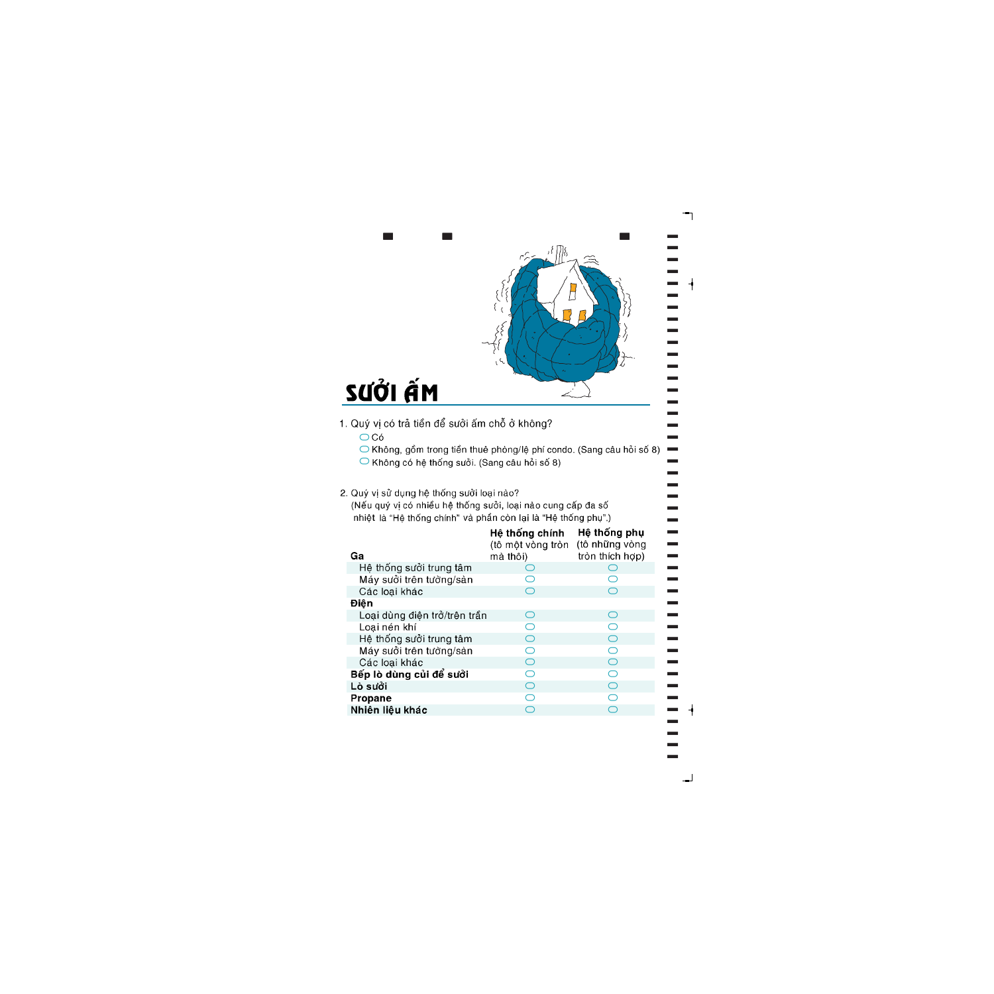

]]]]]]]]]]]]]]]]]]]]]]]]]]]]]]]]]]]]]]]]]]]]]

÷

 $\overline{\phantom{0}}$ 

- -
	-
	-
- 

| SƯỞI ẤM                                                                                                                                                                                                                                                                                                                                                     |                               |                                   |  |  |  |  |
|-------------------------------------------------------------------------------------------------------------------------------------------------------------------------------------------------------------------------------------------------------------------------------------------------------------------------------------------------------------|-------------------------------|-----------------------------------|--|--|--|--|
|                                                                                                                                                                                                                                                                                                                                                             |                               |                                   |  |  |  |  |
| Quý vị có trả tiền để sưởi ấm chỗ ở không?<br>$\bigcirc$ Có<br>◯ Không, gồm trong tiền thuê phòng/lệ phí condo. (Sang câu hỏi số<br>◯ Không có hệ thống sưởi. (Sang câu hỏi số 8)<br>Quý vị sử dụng hệ thống suởi loại nào?<br>(Nếu quý vị có nhiều hệ thống sưởi, loại nào cung cấp đa số<br>nhiệt là "Hệ thống chính" và phần còn lại là "Hệ thống phụ".) |                               |                                   |  |  |  |  |
|                                                                                                                                                                                                                                                                                                                                                             | Hệ thống chính                | Hệ thống phụ                      |  |  |  |  |
| Ga                                                                                                                                                                                                                                                                                                                                                          | (tô một vòng tròn<br>mà thôi) | (tô những vòng<br>tròn thích hợp) |  |  |  |  |
| Hệ thống sưởi trung tâm                                                                                                                                                                                                                                                                                                                                     | O                             | $\circ$                           |  |  |  |  |
| Máy sưởi trên tường/sàn                                                                                                                                                                                                                                                                                                                                     | $\bigcirc$                    | $\bigcirc$                        |  |  |  |  |
| Các loại khác                                                                                                                                                                                                                                                                                                                                               | $\overline{\bigcirc}$         | $\overline{O}$                    |  |  |  |  |
| Điện                                                                                                                                                                                                                                                                                                                                                        |                               |                                   |  |  |  |  |
| Loại dùng điện trở/trên trần                                                                                                                                                                                                                                                                                                                                | ◯                             | $\bigcirc$                        |  |  |  |  |
| Loại nén khí                                                                                                                                                                                                                                                                                                                                                | $\bigcirc$                    |                                   |  |  |  |  |
| Hệ thống sưởi trung tâm                                                                                                                                                                                                                                                                                                                                     | $\bigcirc$                    | $\overline{O}$                    |  |  |  |  |
| Máy sưởi trên tường/sàn                                                                                                                                                                                                                                                                                                                                     | $\overline{\bigcirc}$         | $\overline{\bigcirc}$             |  |  |  |  |
| Các loại khác                                                                                                                                                                                                                                                                                                                                               | $\bigcirc$                    | $\bigcirc$                        |  |  |  |  |
| Bếp lò dùng củi để sưởi                                                                                                                                                                                                                                                                                                                                     | $\overline{O}$                | $\overline{\bigcirc}$             |  |  |  |  |
| Lò sưởi                                                                                                                                                                                                                                                                                                                                                     | $\bigcirc$                    | $\bigcirc$                        |  |  |  |  |
| Propane                                                                                                                                                                                                                                                                                                                                                     | $\bigcirc$                    | $\overline{O}$                    |  |  |  |  |
| Nhiên liệu khác                                                                                                                                                                                                                                                                                                                                             | $\overline{O}$                |                                   |  |  |  |  |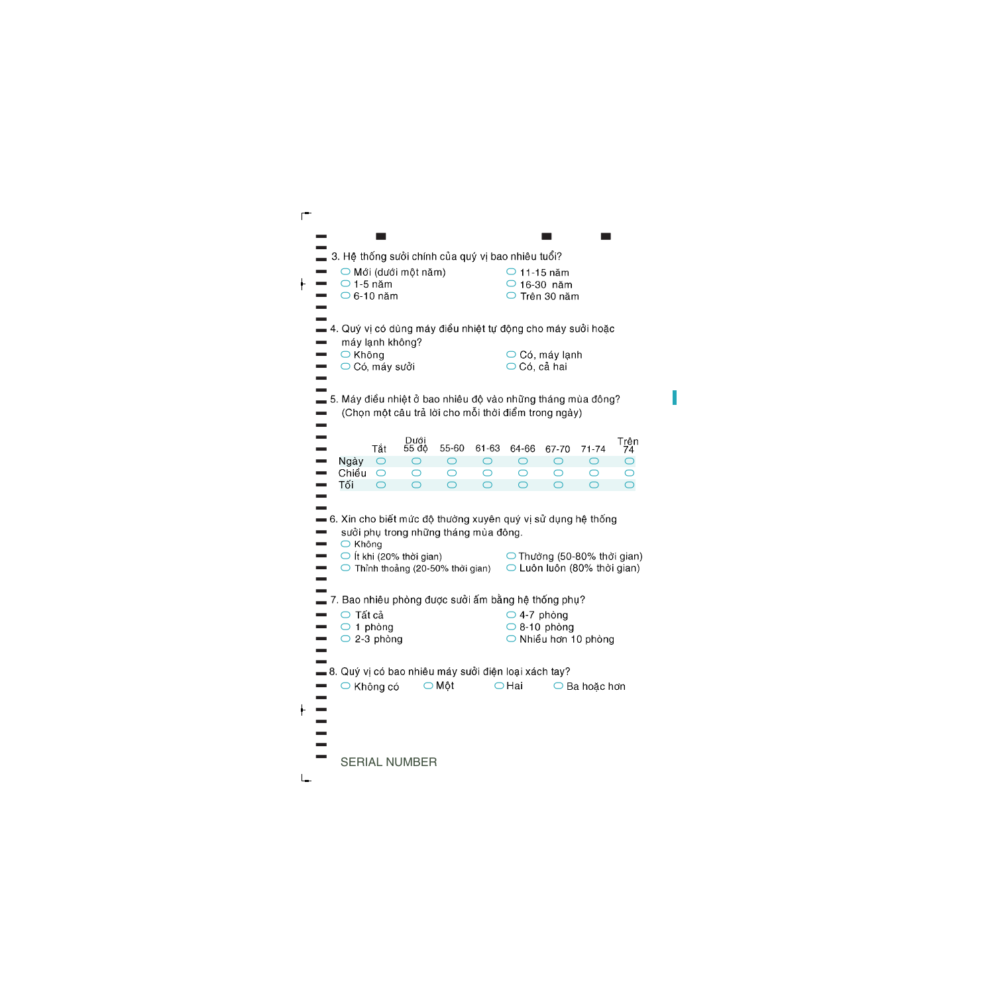|                                                              |                         | 3. Hệ thống sưởi chính của quý vị bao nhiêu tuổi? |                 |                 |                      |                                                     |                        |                              |
|--------------------------------------------------------------|-------------------------|---------------------------------------------------|-----------------|-----------------|----------------------|-----------------------------------------------------|------------------------|------------------------------|
|                                                              |                         | $\bigcirc$ Mới (dưới một năm)                     |                 |                 | $\bigcirc$ 11-15 năm |                                                     |                        |                              |
|                                                              | $\bigcirc$ 1-5 năm      |                                                   |                 |                 | $\bigcirc$ 16-30 năm |                                                     |                        |                              |
|                                                              | $\bigcirc$ 6-10 năm     |                                                   |                 |                 |                      | ○ Trên 30 năm                                       |                        |                              |
|                                                              |                         |                                                   |                 |                 |                      |                                                     |                        |                              |
| — 4. Quý vị có dùng máy điều nhiệt tự động cho máy sưởi hoặc | máy lạnh không?         |                                                   |                 |                 |                      |                                                     |                        |                              |
| ○ Không                                                      |                         |                                                   |                 |                 |                      | $\bigcirc$ Có, máy lạnh                             |                        |                              |
|                                                              | $\bigcirc$ Có, máy suởi |                                                   |                 |                 | ○ Có, cả hai         |                                                     |                        |                              |
|                                                              |                         |                                                   |                 |                 |                      |                                                     |                        |                              |
| — 5. Máy điều nhiệt ở bao nhiêu độ vào những tháng mùa đông? |                         |                                                   |                 |                 |                      |                                                     |                        |                              |
|                                                              |                         |                                                   |                 |                 |                      | (Chọn một câu trả lời cho mỗi thời điểm trong ngày) |                        |                              |
|                                                              |                         |                                                   |                 |                 |                      |                                                     |                        |                              |
|                                                              | Tắt                     | Dưới<br>55 độ                                     | 55-60           | 61-63           | 64-66                | 67-70                                               | $71 - 74$              | Trên<br>74                   |
| Ngày                                                         | $\circ$                 | O                                                 | $\circ$         | $\circ$         | $\circ$              | $\circ$                                             | $\circ$                | $\bigcirc$                   |
| Chiều<br>Tối                                                 | $\bigcirc$<br>$\circ$   | O<br>$\bigcirc$                                   | O<br>$\bigcirc$ | O<br>$\bigcirc$ | O<br>$\bigcirc$      | O<br>$\bigcirc$                                     | O<br>$\bigcirc$        | $\bigcirc$<br>$\overline{O}$ |
|                                                              |                         |                                                   |                 |                 |                      |                                                     |                        |                              |
| -6. Xin cho biết mức độ thường xuyên quý vị sử dụng hệ thống |                         |                                                   |                 |                 |                      |                                                     |                        |                              |
|                                                              |                         | sưởi phụ trong những tháng mùa đông.              |                 |                 |                      |                                                     |                        |                              |
| ○ Không                                                      |                         |                                                   |                 |                 |                      |                                                     |                        |                              |
|                                                              |                         | $\bigcirc$ it khi (20% thời gian)                 |                 |                 |                      | $\bigcirc$ Thường (50-80% thời gian)                |                        |                              |
|                                                              |                         | $\bigcirc$ Thỉnh thoảng (20-50% thời gian)        |                 |                 |                      | $\bigcirc$ Luôn luôn (80% thời gian)                |                        |                              |
|                                                              |                         |                                                   |                 |                 |                      |                                                     |                        |                              |
|                                                              | Tất cả                  |                                                   |                 |                 | $\bigcirc$ 4-7 phòng | 7. Bao nhiêu phòng được sưởi ấm bằng hệ thống phụ?  |                        |                              |
| O                                                            | 1 phòng                 |                                                   |                 |                 |                      | $\bigcirc$ 8-10 phòng                               |                        |                              |
|                                                              | $\bigcirc$ 2-3 phòng    |                                                   |                 |                 |                      | $\bigcirc$ Nhiều hơn 10 phòng                       |                        |                              |
|                                                              |                         |                                                   |                 |                 |                      |                                                     |                        |                              |
| _8. Quý vị có bao nhiêu máy sưởi điện loại xách tay?         |                         |                                                   |                 |                 |                      |                                                     |                        |                              |
|                                                              |                         | ○ Không có   ○ Một                                |                 |                 | $\bigcirc$ Hai       |                                                     | $\bigcirc$ Ba hoặc hơn |                              |
|                                                              |                         |                                                   |                 |                 |                      |                                                     |                        |                              |
|                                                              |                         |                                                   |                 |                 |                      |                                                     |                        |                              |
|                                                              |                         |                                                   |                 |                 |                      |                                                     |                        |                              |
|                                                              |                         |                                                   |                 |                 |                      |                                                     |                        |                              |
|                                                              |                         |                                                   |                 |                 |                      |                                                     |                        |                              |

SERIAL NUMBER

 $\overline{\phantom{a}}$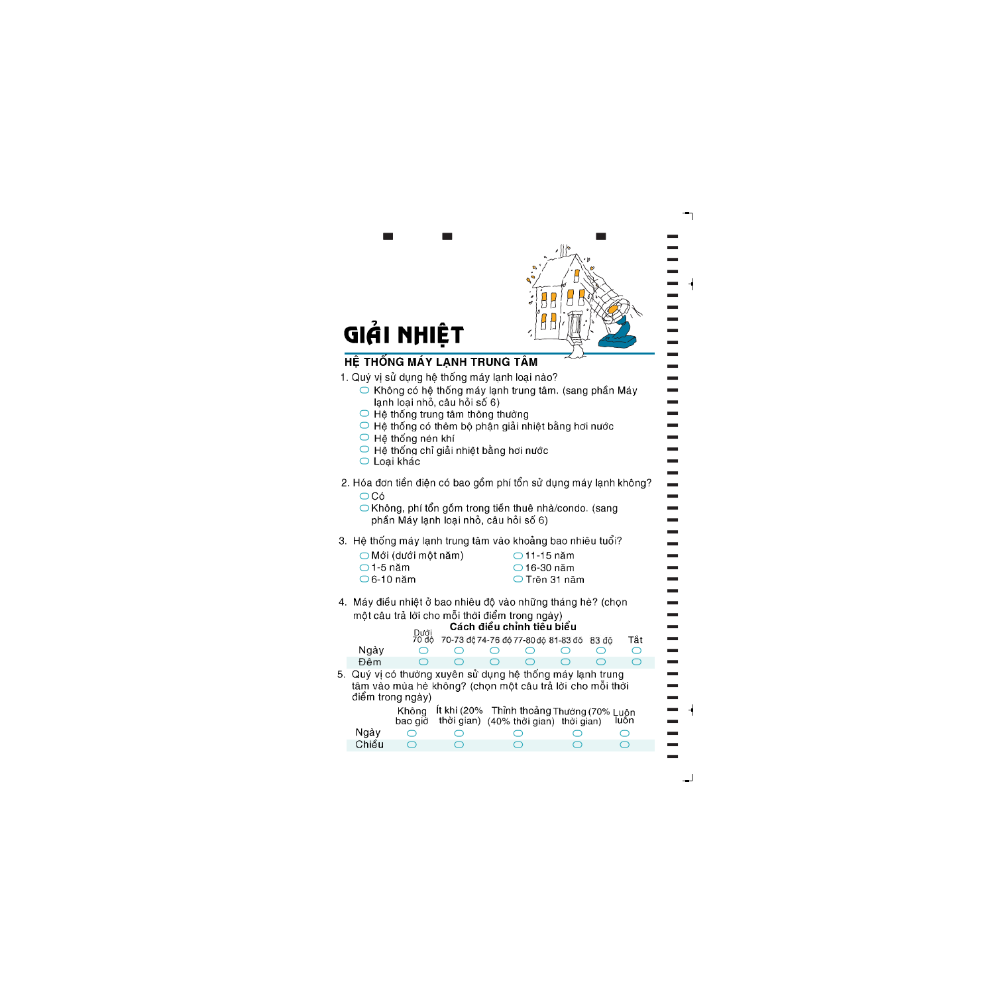

]]]]]]]]]]]]]]]]]]]]]]]]]]]]]]]]]]]]]]]]]]]]]

- -
	-
	-
	-
	-
	-
- 

| $\bigcirc$ Mới (dưới một năm) | $\bigcirc$ 11-15 năm   |
|-------------------------------|------------------------|
| $\bigcirc$ 1-5 năm            | $\bigcirc$ 16-30 năm   |
| $\bigcirc$ 6-10 năm           | $\bigcirc$ Trên 31 năm |

|    |                     | GIẢI NHIỆT                  |                                                                            |                                                                                                                    |               |       |                 |
|----|---------------------|-----------------------------|----------------------------------------------------------------------------|--------------------------------------------------------------------------------------------------------------------|---------------|-------|-----------------|
|    |                     |                             |                                                                            | HỆ THỐNG MÁY LẠNH TRUNG TÂM                                                                                        |               |       |                 |
|    |                     |                             |                                                                            | 1. Quý vị sử dụng hệ thống máy lạnh loại nào?                                                                      |               |       |                 |
|    |                     |                             |                                                                            | ○ Không có hệ thống máy lạnh trung tâm. (sang phần Máy                                                             |               |       |                 |
|    |                     |                             | lạnh loại nhỏ, câu hỏi số 6)<br>$\bigcirc$ Hệ thống trung tâm thông thường |                                                                                                                    |               |       |                 |
|    |                     |                             |                                                                            | $\bigcirc$ Hệ thống có thêm bộ phân giải nhiệt bằng hơi nước                                                       |               |       |                 |
|    |                     | $\bigcirc$ Hệ thống nén khí |                                                                            |                                                                                                                    |               |       |                 |
|    | $\circ$ Loại khác   |                             |                                                                            | $\bigcirc$ Hệ thống chỉ giải nhiệt bằng hơi nước                                                                   |               |       |                 |
|    |                     |                             |                                                                            | 2. Hóa đơn tiền điện có bao gồm phí tổn sử dụng máy lạnh không                                                     |               |       |                 |
|    | $\overline{OC}$ ó   |                             |                                                                            |                                                                                                                    |               |       |                 |
|    |                     |                             |                                                                            | ◯ Không, phí tổn gồm trong tiền thuê nhà/condo. (sang                                                              |               |       |                 |
|    |                     |                             |                                                                            | phần Máy lạnh loại nhỏ, câu hỏi số 6)                                                                              |               |       |                 |
|    |                     |                             |                                                                            | 3. Hệ thống máy lạnh trung tâm vào khoảng bao nhiêu tuổi?                                                          |               |       |                 |
|    | $\bigcirc$ 1-5 năm  | O Mới (dưới một năm)        |                                                                            | $\bigcirc$ 11-15 năm<br>$\bigcirc$ 16-30 năm                                                                       |               |       |                 |
|    | $\bigcirc$ 6-10 năm |                             |                                                                            |                                                                                                                    | ○ Trên 31 năm |       |                 |
|    |                     |                             |                                                                            | 4. Máy điều nhiệt ở bao nhiêu độ vào những tháng hè? (chọn                                                         |               |       |                 |
|    |                     |                             |                                                                            | một câu trả lời cho mỗi thời điểm trong ngày)                                                                      |               |       |                 |
|    |                     | Dưới                        |                                                                            | Cách điều chỉnh tiêu biểu                                                                                          |               |       |                 |
|    | Ngày                |                             |                                                                            | 70 độ 70-73 độ 74-76 độ 77-80 độ 81-83 độ                                                                          |               | 83 đô | Tắt             |
|    | Đêm                 |                             |                                                                            |                                                                                                                    |               |       |                 |
| 5. |                     | điểm trong ngày)            |                                                                            | Quý vị có thường xuyên sử dụng hệ thống máy lạnh trung<br>tâm vào mùa hè không? (chọn một câu trả lời cho mỗi thời |               |       |                 |
|    |                     | Không                       | Ít khi (20%                                                                | Thỉnh thoảng Thường (70% Luôn                                                                                      |               |       |                 |
|    | Ngày                | bao giò<br>◯                | thời gian)<br>◯                                                            | (40% thời gian) thời gian)<br>◯                                                                                    | ◯             |       | luôn<br>$\circ$ |
|    | Chiều               | ◯                           |                                                                            |                                                                                                                    |               |       | $\bigcap$       |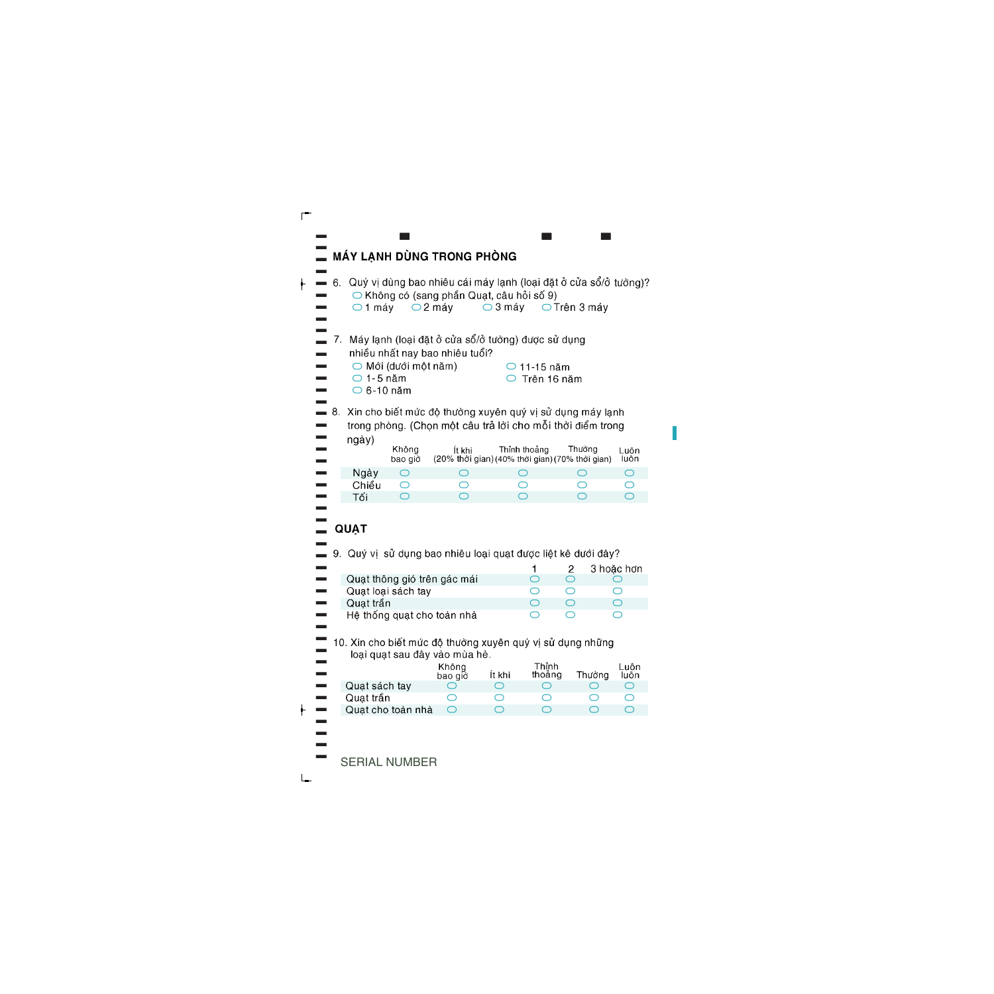|    |    |                                           |                      | MÁY LẠNH DÙNG TRONG PHÒNG                                                                                                                                                           |                     |                                        |                                              |                                  |
|----|----|-------------------------------------------|----------------------|-------------------------------------------------------------------------------------------------------------------------------------------------------------------------------------|---------------------|----------------------------------------|----------------------------------------------|----------------------------------|
|    | 6. | $\bigcirc$ 1 máy                          |                      | Quý vị dùng bao nhiêu cái máy lạnh (loại đặt ở cửa sổ/ở tường)?<br>$\bigcirc$ Không có (sang phần Quạt, câu hỏi số 9)<br>$\bigcirc$ 2 máy                                           | $\bigcirc$ 3 máy    |                                        | $\bigcirc$ Trên 3 máy                        |                                  |
|    | 7. | $\bigcirc$ 1-5 năm<br>$\bigcirc$ 6-10 năm | ○ Mới (dưới một năm) | Máy lạnh (loại đặt ở cửa sổ/ở tường) được sử dụng<br>nhiều nhất nay bao nhiêu tuổi?                                                                                                 |                     | $\bigcirc$ 11-15 năm<br>Trên 16 năm    |                                              |                                  |
| 8. |    | ngày)                                     | Không<br>bao giờ     | Xin cho biết mức độ thường xuyên quý vị sử dụng máy lạnh<br>trong phòng. (Chọn một câu trả lời cho mỗi thời điểm trong<br>İt khi<br>(20% thời gian) (40% thời gian) (70% thời gian) |                     | Thỉnh thoảng                           | Thường                                       | Luôn<br>luôn                     |
|    |    | Ngày<br>Chiều<br>Tối                      | ◯<br>O<br>$\bigcirc$ | $\circ$<br>O<br>$\bigcirc$                                                                                                                                                          |                     | ◯<br>O<br>$\bigcirc$                   | ◯<br>O<br>$\bigcirc$                         | $\bigcirc$<br>O<br>$\bigcirc$    |
|    |    | <b>QUAT</b>                               |                      | 9. Quý vị sử dụng bao nhiêu loại quạt được liệt kê dưới đây?                                                                                                                        |                     | 1                                      | 2                                            | 3 hoặc hơn                       |
|    |    | Quat trần                                 | Quạt loại sách tay   | Quạt thông gió trên gác mái                                                                                                                                                         |                     | $\circlearrowright$<br>O<br>$\bigcirc$ | $\circlearrowright$<br>$\circ$<br>$\bigcirc$ | O<br>O<br>$\bigcirc$             |
|    |    |                                           |                      | Hệ thống quạt cho toàn nhà                                                                                                                                                          |                     | ◯                                      | ◯                                            | ⌒                                |
|    |    |                                           |                      | 10. Xin cho biết mức độ thường xuyên quý vị sử dụng những<br>loại quạt sau đây vào mùa hè.<br>Không<br>bao giò                                                                      | İt khi              | Thỉnh<br>thoảng                        | Thường                                       | Luôn<br>luôn                     |
|    |    | Quạt sách tay                             |                      |                                                                                                                                                                                     | $\cup$              | $\circ$                                | $\circ$                                      |                                  |
|    |    | Quat trần                                 | Quat cho toàn nhà    | $\overline{\bigcirc}$                                                                                                                                                               | O<br>$\overline{O}$ | $\circ$<br>$\bigcirc$                  | O<br>$\bigcirc$                              | $\circ$<br>$\overline{\bigcirc}$ |
|    |    |                                           | <b>NUIMPED</b>       |                                                                                                                                                                                     |                     |                                        |                                              |                                  |

 $\blacksquare$ 

SERIAL NUMBER

[

═

 $\vdash$ 

 $\vdash$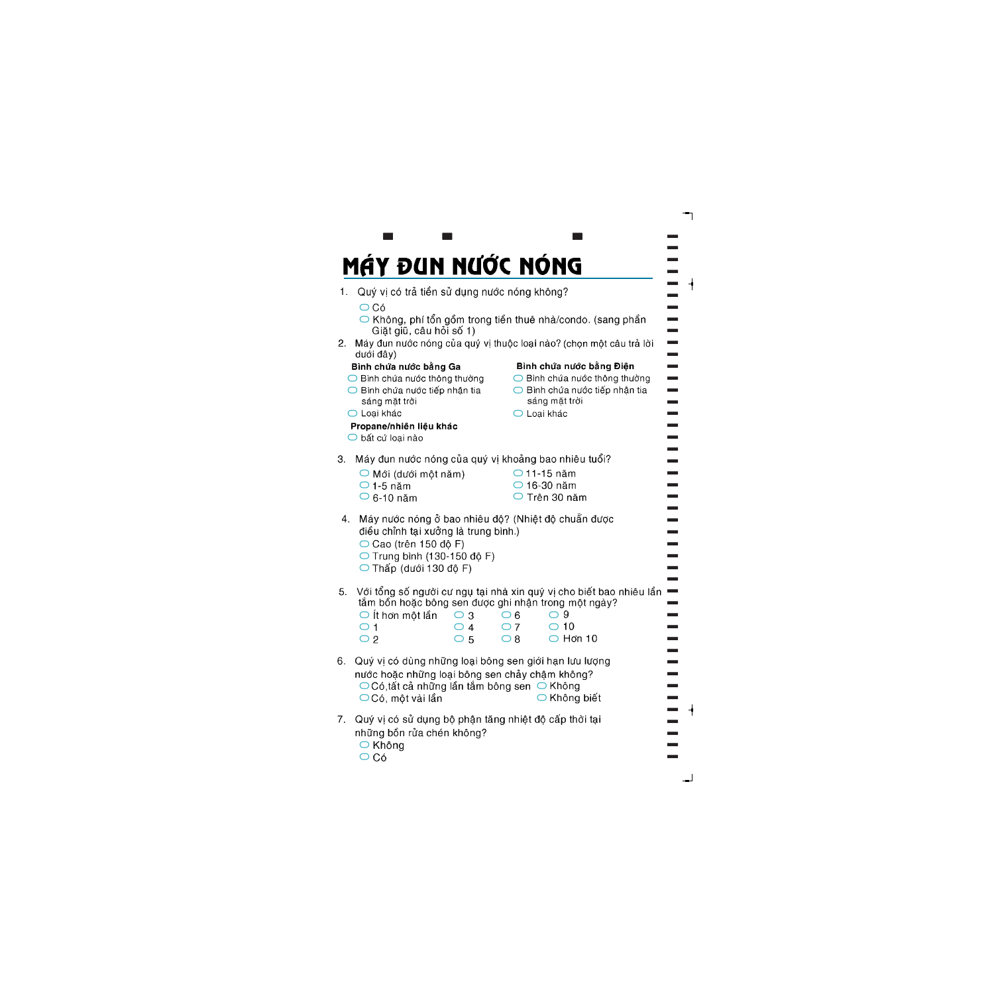## MÁY ĐUN NƯỚC NÓNG

 ${\bf r}$  and  ${\bf r}$  and  ${\bf r}$  and  ${\bf r}$  and  ${\bf r}$ 

- Quý vi có trả tiền sử dung nước nóng không?  $1_{-}$ 
	- $\bigcap$  Có
	- Không, phí tổn gồm trong tiền thuê nhà/condo. (sang phần Giặt giũ, câu hỏi số 1)
- 2. Máy đun nước nóng của quý vị thuộc loại nào? (chọn một câu trả lời dưới đây)

## Bình chứa nước bằng Ga

- ◯ Bình chứa nước thông thường
- Bình chứa nước tiếp nhân tia sáng mặt trời

## Bình chứa nước bằng Điện

◯ Bình chứa nước thông thường

 $\blacksquare$  $\blacksquare$  $\blacksquare$  $\blacksquare$  $\blacksquare$  $\blacksquare$  $\blacksquare$  $\blacksquare$  $\blacksquare$ ] ]  $\equiv$  $\equiv$  $\overline{\phantom{a}}$  $\blacksquare$  $\blacksquare$  $\blacksquare$  $\blacksquare$  $\blacksquare$  $\blacksquare$  $\blacksquare$  $\blacksquare$  $\blacksquare$  $\blacksquare$  $\blacksquare$  $\blacksquare$  $\blacksquare$  $\equiv$  $\equiv$  $\blacksquare$ 

 $\overline{\phantom{a}}$  $\blacksquare$  $\blacksquare$  $\blacksquare$  $\blacksquare$  $\blacksquare$  $\blacksquare$  $\blacksquare$  $\blacksquare$  $\blacksquare$  $\blacksquare$  $\blacksquare$  $\blacksquare$  $\blacksquare$ 

 $\bigcap$  Bình chứa nước tiếp nhân tia sáng măt trời

○ Loai khác

### Propane/nhiên liệu khác

○ bất cứ loại nào

- O Loai khác
- Máy đun nước nóng của quý vị khoảng bao nhiêu tuổi? 3.
	- $\bigcirc$  Mới (dưới một năm)
	- $\bigcirc$  1-5 năm
	- $\circ$  6-10 năm
- $\bigcirc$  11-15 năm ○ 16-30 năm
- Trên 30 năm
- 4. Máy nước nóng ở bao nhiêu độ? (Nhiệt độ chuẩn được điều chỉnh tại xưởng là trung bình.)
	- $\bigcirc$  Cao (trên 150 đô F)
	- $\bigcirc$  Trung bình (130-150 đô F)
	- $\bigcirc$  Thấp (dưới 130 đô F)
- 5. Với tổng số người cư ngụ tại nhà xin quý vị cho biết bao nhiêu lần

| $\bigcirc$ it hơn một lần $\bigcirc$ 3 |              | $\bigcirc$ 6 | െ 9               |
|----------------------------------------|--------------|--------------|-------------------|
| $\bigcirc$ 1                           | $\bigcirc$ 4 | $\bigcirc$ 7 | $\bigcirc$ 10     |
| ○ 2                                    | $\bigcirc$ 5 | $\bigcirc$ 8 | $\bigcirc$ Hon 10 |

- 6. Quý vị có dùng những loại bông sen giới hạn lưu lượng nước hoặc những loại bông sen chảy châm không?  $\bigcirc$  Có,tất cả những lần tắm bông sen  $\bigcirc$ ○ Có, một vài lần ○ Không biết
- 7. Quý vị có sử dụng bộ phận tăng nhiệt độ cấp thời tại những bồn rửa chén không?
	- Không
	- $\bigcirc$  Có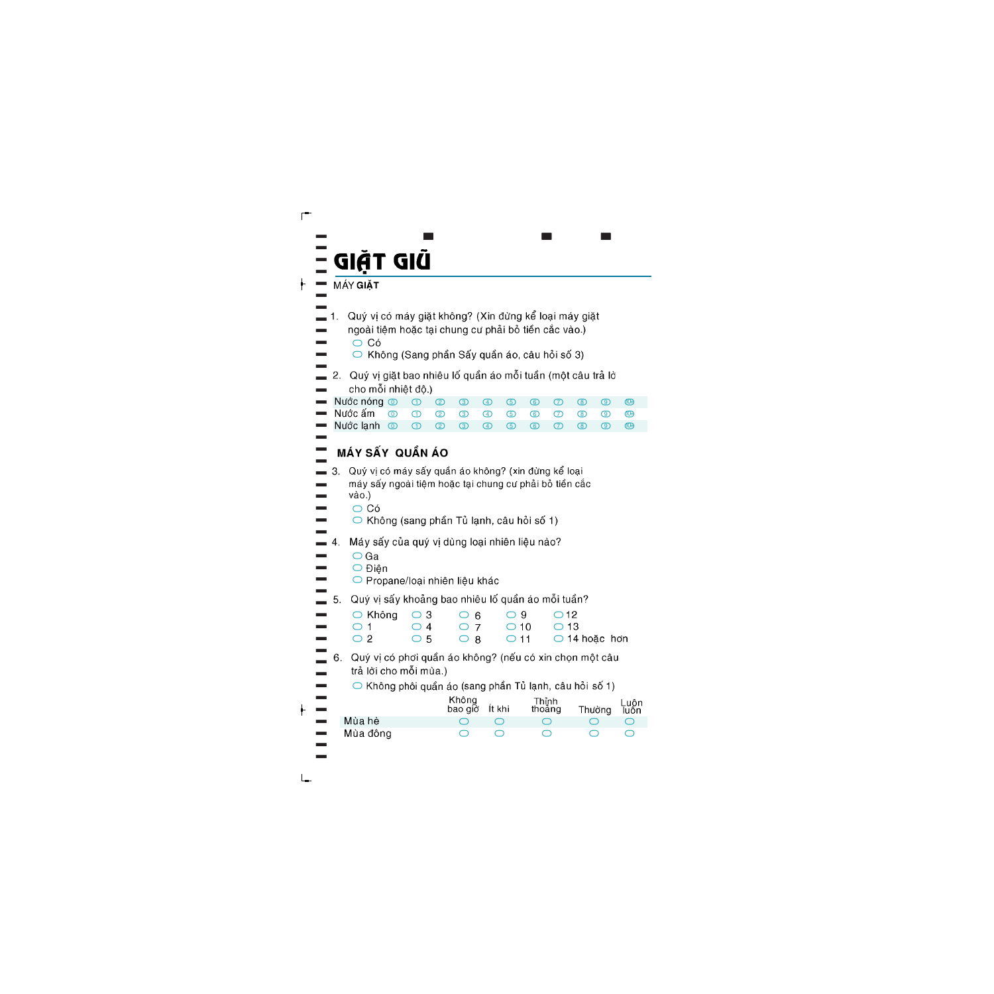#### [ [ [ [ [  ${\bf r}$  and  ${\bf r}$  are the set of  ${\bf r}$  and  ${\bf r}$

[

- [ Quý vị có máy giặt không? (Xin đừng kể loại máy giặt [
- [ ngoài tiệm hoặc tại chung cư phải bỏ tiền cắc vào.) [  $\circ$  Có [
	- Không (Sang phần Sấy quần áo, câu hỏi số 3)
- [ Quý vị giặt bao nhiêu lố quần áo mỗi tuần (một câu trả lờ [ 2. cho mỗi nhiệt độ.) [

|                 | $\blacksquare$ Nuớc nóng $\oslash$ $\oslash$ $\oslash$ $\oslash$ $\oslash$ $\oslash$ $\oslash$ $\oslash$ $\oslash$ $\oslash$ $\oslash$ $\oslash$ $\oslash$ $\oslash$ $\oslash$ $\oslash$ $\oslash$ $\oslash$ $\oslash$ $\oslash$ $\oslash$ $\oslash$ $\oslash$ $\oslash$ $\oslash$ $\oslash$ $\oslash$ $\oslash$ $\oslash$ $\oslash$ $\oslash$ $\oslash$ $\oslash$ $\oslash$ |  |  |  |  |  |  |
|-----------------|------------------------------------------------------------------------------------------------------------------------------------------------------------------------------------------------------------------------------------------------------------------------------------------------------------------------------------------------------------------------------|--|--|--|--|--|--|
|                 | $\blacksquare$ Nước ấm $\quad \textcircled{1} \quad \textcircled{2} \quad \textcircled{3} \quad \textcircled{4} \quad \textcircled{5} \quad \textcircled{6} \quad \textcircled{7} \quad \textcircled{8} \quad \textcircled{9} \quad \textcircled{9}$                                                                                                                         |  |  |  |  |  |  |
|                 | $\blacksquare$ Nuớc lạnh $\odot$ $\odot$ $\odot$ $\odot$ $\odot$ $\odot$ $\odot$ $\odot$ $\odot$ $\odot$ $\odot$ $\odot$ $\odot$ $\odot$                                                                                                                                                                                                                                     |  |  |  |  |  |  |
| <b>Contract</b> |                                                                                                                                                                                                                                                                                                                                                                              |  |  |  |  |  |  |

#### [ MÁY SẤY QUẦN ÁO [

- Quý vị có máy sấy quần áo không? (xin đừng kể loại [ [ máy sấy ngoài tiệm hoặc tại chung cư phải bỏ tiền cắc [ vào.) [
	- $\bigcirc$  Có

 $\overline{\phantom{a}}$ 

[ [

[  $\equiv$ [

[

[

- $\circ$  Không (sang phần Tủ lạnh, câu hỏi số 1)
- [ Máy sấy của quý vị dùng loại nhiên liệu nào?  $\blacksquare$  4. [
	- $\bigcirc$  Ga
	- O Điên
	- O Propane/loại nhiên liệu khác
- [ Quý vi sấy khoảng bao nhiêu lố quần áo mỗi tuần? 5.  $\equiv$

| $\bigcirc$ Không $\bigcirc$ 3 $\bigcirc$ 6 $\bigcirc$ 9 $\bigcirc$ 12 |              |  |                                                   |
|-----------------------------------------------------------------------|--------------|--|---------------------------------------------------|
| $\bigcap$ $\bigcap$ 4 $\bigcap$ 7 $\bigcap$ 10 $\bigcap$ 13           |              |  |                                                   |
| $\bigcirc$ 2                                                          | $\bigcirc$ 5 |  | $\bigcirc$ 8 $\bigcirc$ 11 $\bigcirc$ 14 hoặc hơn |

- [ 6. Quý vi có phơi quần áo không? (nếu có xin chon một câu [ trả lời cho mỗi mùa.) [
	- $\circ$  Không phôi quần áo (sang phần Tủ lạnh, câu hỏi số 1)

| <b>Contract</b><br><b>Contract</b> |          | Không<br>bao giờ Ít khi | Thỉnh<br>thoảng | Thường | Luôn<br>luôn |
|------------------------------------|----------|-------------------------|-----------------|--------|--------------|
| $\overline{\phantom{a}}$           | Mùa hè   |                         |                 |        |              |
| <b>Contract</b>                    | Mùa đông |                         |                 |        |              |
| <b>The Contract</b>                |          |                         |                 |        |              |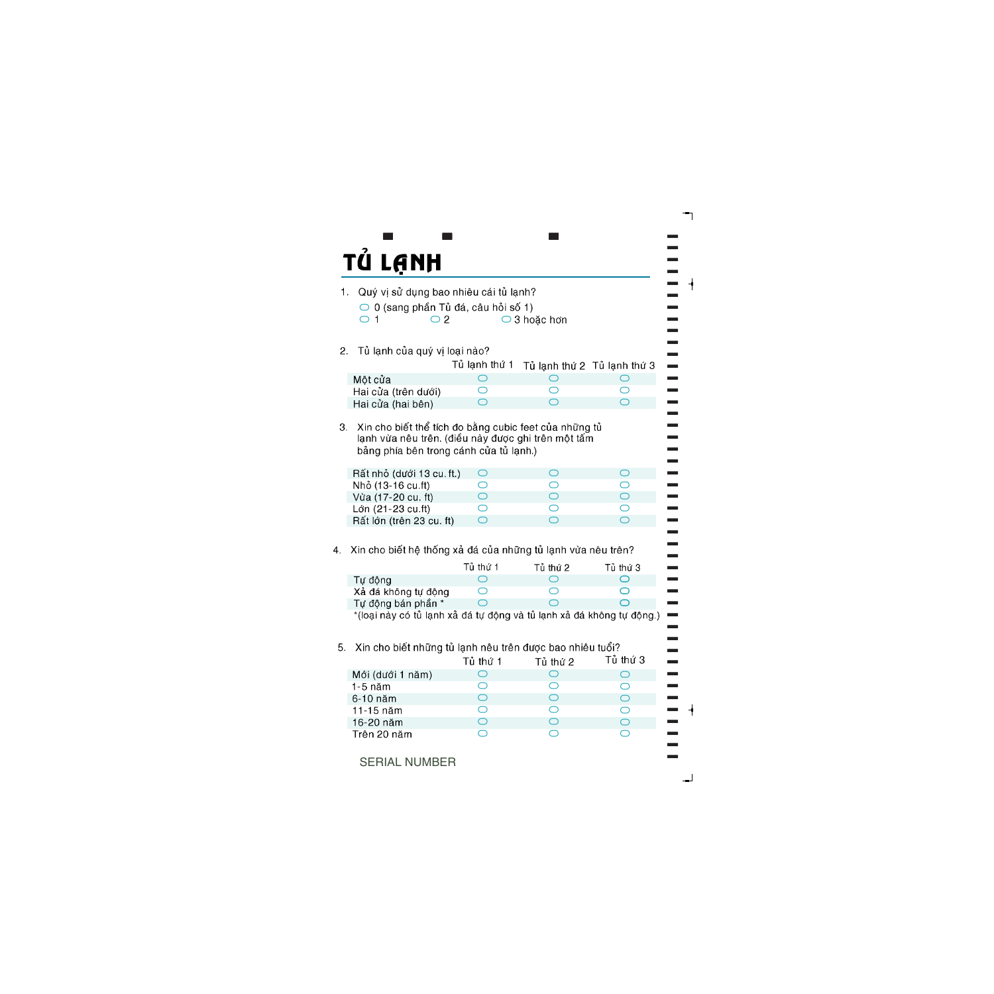

SERIAL NUMBER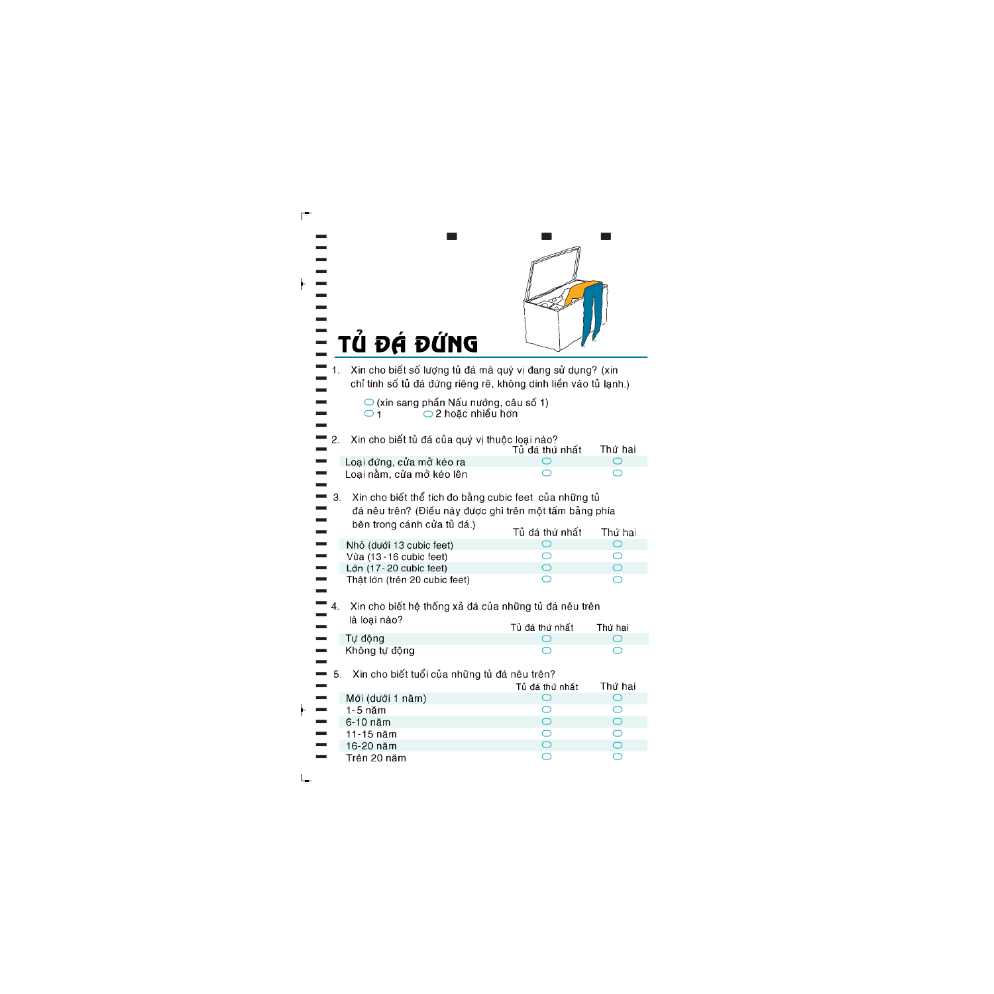|    | TỦ ĐÁ ĐỨNG                                                                                                                                    |                     |                     |
|----|-----------------------------------------------------------------------------------------------------------------------------------------------|---------------------|---------------------|
| 1. | Xin cho biết số lượng tủ đá mà quý vị đang sử dụng? (xin<br>chỉ tính số tủ đá đứng riêng rẽ, không dính liền vào tủ lạnh.)                    |                     |                     |
|    | $\bigcirc$ (xin sang phần Nấu nướng, câu số 1)<br>$\bigcirc$ 2 hoặc nhiều hơn<br>$\bigcirc$ 1                                                 |                     |                     |
| 2. | Xin cho biết tủ đá của quý vị thuộc loại nào?                                                                                                 | Tủ đá thứ nhất      | Thứ hai             |
|    | Loại đứng, cửa mở kéo ra                                                                                                                      |                     | O                   |
|    | Loại nằm, cửa mở kéo lên                                                                                                                      |                     | ⌒                   |
| 3. | Xin cho biết thể tích đo bằng cubic feet của những tủ<br>đá nêu trên? (Điều này được ghi trên một tấm bảng phía<br>bên trong cánh cửa tủ đá.) | Tủ đá thứ nhất      | Thứ hai             |
|    |                                                                                                                                               | $\circlearrowright$ | $\circ$             |
|    | Nhỏ (dưới 13 cubic feet)                                                                                                                      | $\circ$             | O                   |
|    | Vừa (13-16 cubic feet)<br>Lớn (17-20 cubic feet)                                                                                              | $\bigcirc$          | $\bigcirc$          |
|    | Thật lớn (trên 20 cubic feet)                                                                                                                 | ⌒                   | ⌒                   |
| 4. | Xin cho biết hệ thống xả đá của những tủ đá nêu trên                                                                                          |                     |                     |
|    | là loại nào?                                                                                                                                  |                     |                     |
|    |                                                                                                                                               | Tủ đá thứ nhất      | Thứ hai             |
|    | Tự động                                                                                                                                       |                     |                     |
|    | Không tự động                                                                                                                                 |                     |                     |
| 5. | Xin cho biết tuổi của những tủ đá nêu trên?                                                                                                   | Tủ đá thứ nhất      | Thứ hai             |
|    | Mới (dưới 1 năm)                                                                                                                              | $\bigcirc$          | $\bigcirc$          |
|    | $1-5$ năm                                                                                                                                     | O                   | O                   |
|    | 6-10 năm                                                                                                                                      | $\bigcirc$          | $\circlearrowright$ |
|    | 11-15 năm                                                                                                                                     | O                   | $\circlearrowright$ |
|    | 16-20 năm                                                                                                                                     | $\bigcirc$          | $\bigcirc$          |
|    | Trên 20 năm                                                                                                                                   | $\circ$             | O                   |
|    |                                                                                                                                               |                     |                     |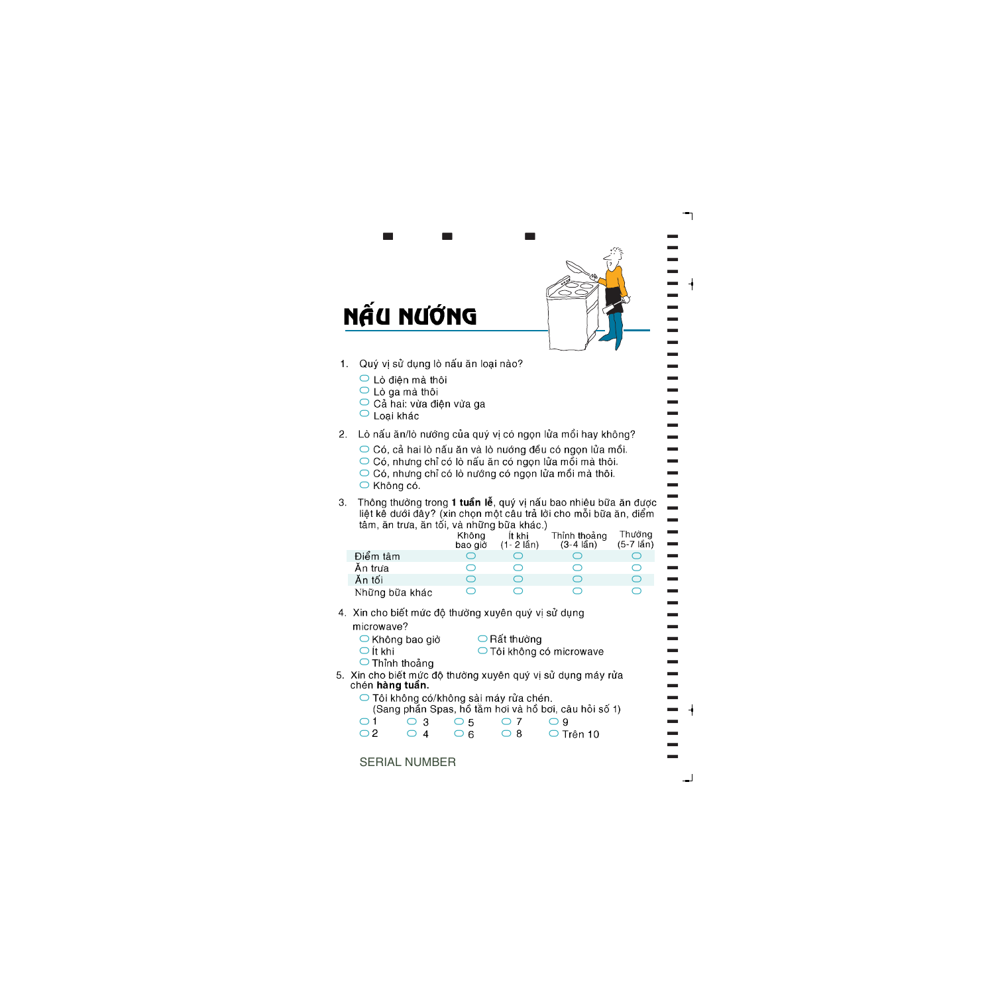

## NẤU NƯỚNG

Quý vi sử dụng lò nấu ăn loại nào?  $1<sub>1</sub>$ 

 $\bf{r}$  and  $\bf{r}$  and  $\bf{r}$  and  $\bf{r}$ 

- O Lò điện mà thôi
- Lò qa mà thôi
- Cả hai: vừa điên vừa ga
- $\circ$  Loai khác

#### Lò nấu ăn/lò nướng của quý vị có ngọn lửa mồi hay không?  $2.$

- $\circ$  Có, cả hai lò nấu ăn và lò nướng đều có ngọn lửa mồi.
- Có, nhưng chỉ có lò nấu ăn có ngọn lửa mồi mà thôi.
- Có, nhưng chỉ có lò nướng có ngọn lửa mồi mà thôi.
- Không có.
- Thông thường trong 1 tuần lễ, quý vị nấu bao nhiêu bữa ăn được  $3<sup>1</sup>$ liệt kễ dưới đây? (xin chọn một câu trả lời cho mỗi bữa ăn, điểm tâm, ăn trưa, ăn tối, và những bữa khác.)

|                | Không<br>bao giờ | It khi<br>$(1 - 2 \hat{\text{lan}})$ | Thỉnh thoảng<br>(3-4 lần) | Thường<br>$(5-7 \hat{\text{lAn}})$ |
|----------------|------------------|--------------------------------------|---------------------------|------------------------------------|
| Điểm tâm       |                  |                                      |                           |                                    |
| Ăn trưa        |                  |                                      |                           |                                    |
| Ăn tối         |                  |                                      |                           |                                    |
| Những bữa khác |                  |                                      |                           |                                    |

- 4. Xin cho biết mức độ thường xuyên quý vị sử dụng microwave?
	- $\bigcirc$  Không bao giờ  $\bigcirc$  Rất thường
	- $\bigcirc$  Ít khi O Tôi không có microwave
	- O Thỉnh thoảng

5. Xin cho biết mức đô thường xuyên quý vị sử dụng máy rửa chén hàng tuần.

○ Tôi không có/không sài máy rửa chén. (Sang phần Spas, hồ tắm hơi và hồ bơi, câu hỏi số 1)

| $\bigcirc$ 1 | $\bigcirc$ 3 $\bigcirc$ 5 |      | $\bigcirc$ 7 | $\bigcirc$ 9    |
|--------------|---------------------------|------|--------------|-----------------|
| $\circ$ 2    | $\bigcirc$ 4              | ေပ 6 | $\bigcirc$ 8 | $\circ$ Trên 10 |

SERIAL NUMBER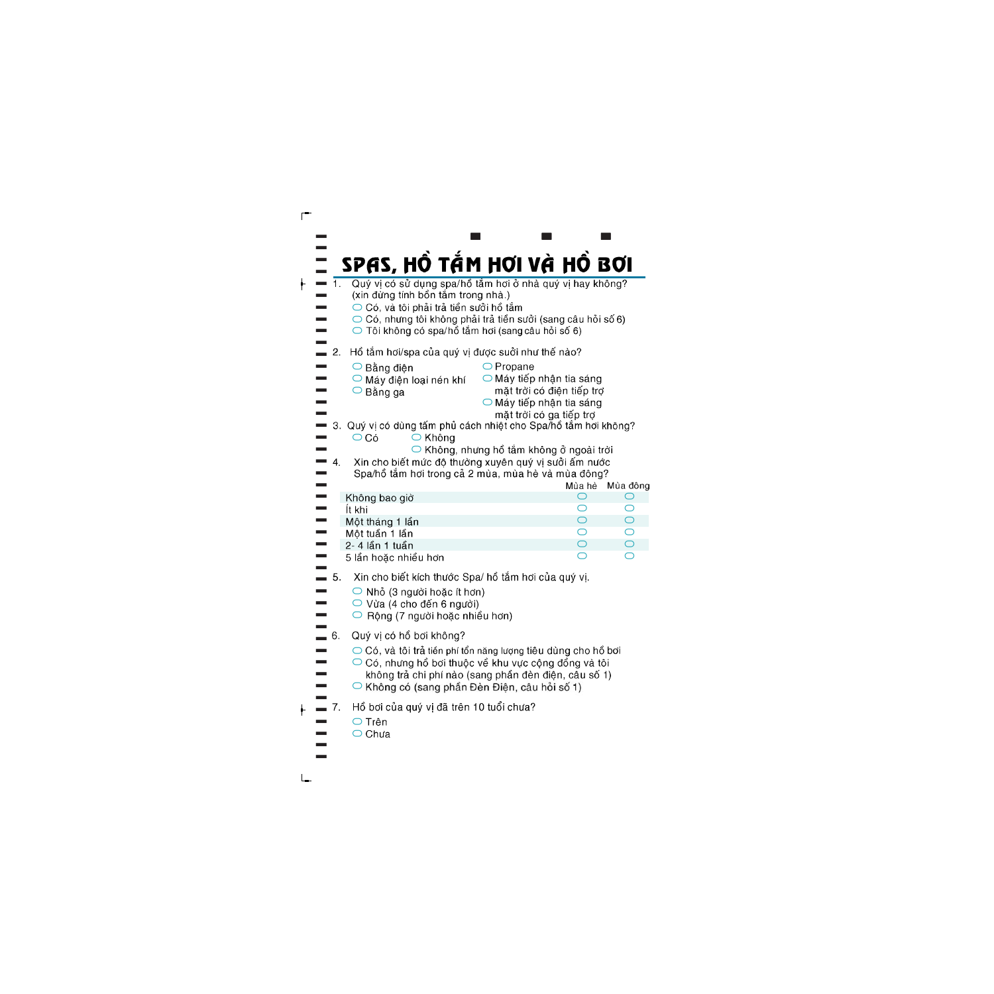|                                                      | SPAS, HỒ TẮM HƠI VÀ HỒ BƠI                                                               |                           |                 |
|------------------------------------------------------|------------------------------------------------------------------------------------------|---------------------------|-----------------|
| $\overline{1}$                                       | Quý vị có sử dụng spa/hồ tắm hơi ở nhà quý vị hay không?                                 |                           |                 |
|                                                      | (xin đừng tính bồn tắm trong nhà.)<br>$\bigcirc$ Có, và tôi phải trả tiền sưởi hồ tắm    |                           |                 |
|                                                      | ○ Có, nhưng tôi không phải trả tiền sưởi (sang câu hỏi số 6)                             |                           |                 |
|                                                      | ◯ Tôi không có spa/hồ tắm hơi (sang câu hỏi số 6)                                        |                           |                 |
| 2.                                                   | Hồ tắm hơi/spa của quý vị được suởi như thế nào?                                         |                           |                 |
|                                                      | $\bigcirc$ Propane<br>○ Bằng điện                                                        |                           |                 |
|                                                      | $\bigcirc$ Máy tiếp nhận tia sáng<br>$\bigcirc$ Máy điện loại nén khí                    |                           |                 |
|                                                      | $\circ$ Bằng ga<br>$\bigcirc$ Máy tiếp nhận tia sáng                                     | mặt trời có điện tiếp trợ |                 |
|                                                      |                                                                                          | mặt trời có ga tiếp trợ   |                 |
| З.                                                   | Quý vị có dùng tấm phủ cách nhiệt cho Spa/hồ tắm hơi không?                              |                           |                 |
|                                                      | $\overline{\bigcirc}$ Có<br>○ Không<br>$\bigcirc$ Không, nhưng hồ tắm không ở ngoài trời |                           |                 |
| 4.                                                   | Xin cho biết mức độ thường xuyên quý vị sưởi ấm nước                                     |                           |                 |
|                                                      | Spa/hồ tắm hơi trong cả 2 mùa, mùa hè và mùa đông?                                       |                           |                 |
|                                                      |                                                                                          | Mùa hè                    | Mùa đông        |
|                                                      | Không bao giờ<br>İt khi                                                                  | O<br>O                    | O<br>$\bigcirc$ |
|                                                      | Một tháng 1 lần                                                                          | $\bigcirc$                | $\bigcirc$      |
|                                                      | Một tuần 1 lần                                                                           | $\bigcirc$                | $\bigcirc$      |
|                                                      | 2- 4 lần 1 tuần<br>5 lần hoặc nhiều hơn                                                  | $\bigcirc$<br>◯           | $\bigcirc$      |
|                                                      |                                                                                          |                           |                 |
| 5.                                                   | Xin cho biết kích thước Spa/ hồ tắm hơi của quý vị.                                      |                           |                 |
|                                                      | $\bigcirc$ Nhỏ (3 người hoặc ít hơn)<br>$\bigcirc$ Vừa (4 cho đến 6 người)               |                           |                 |
|                                                      | ○ Rộng (7 người hoặc nhiều hơn)                                                          |                           |                 |
| 6.                                                   | Quý vị có hồ bơi không?                                                                  |                           |                 |
|                                                      | ○ Có, và tôi trả tiền phí tổn năng lượng tiêu dùng cho hồ bơi                            |                           |                 |
|                                                      | $\bigcirc$ Có, nhưng hồ bơi thuộc về khu vực cộng đồng và tôi                            |                           |                 |
| không trá chi phí nào (sang phân đèn điện, câu sô 1) |                                                                                          |                           |                 |
|                                                      | ◯ Không có (sang phần Đèn Điện, câu hỏi số 1)                                            |                           |                 |
| $-7.$                                                | Hồ bơi của quý vị đã trên 10 tuổi chưa?                                                  |                           |                 |
|                                                      | $\bigcirc$ Trên                                                                          |                           |                 |
|                                                      | $\bigcirc$ Chưa                                                                          |                           |                 |
|                                                      |                                                                                          |                           |                 |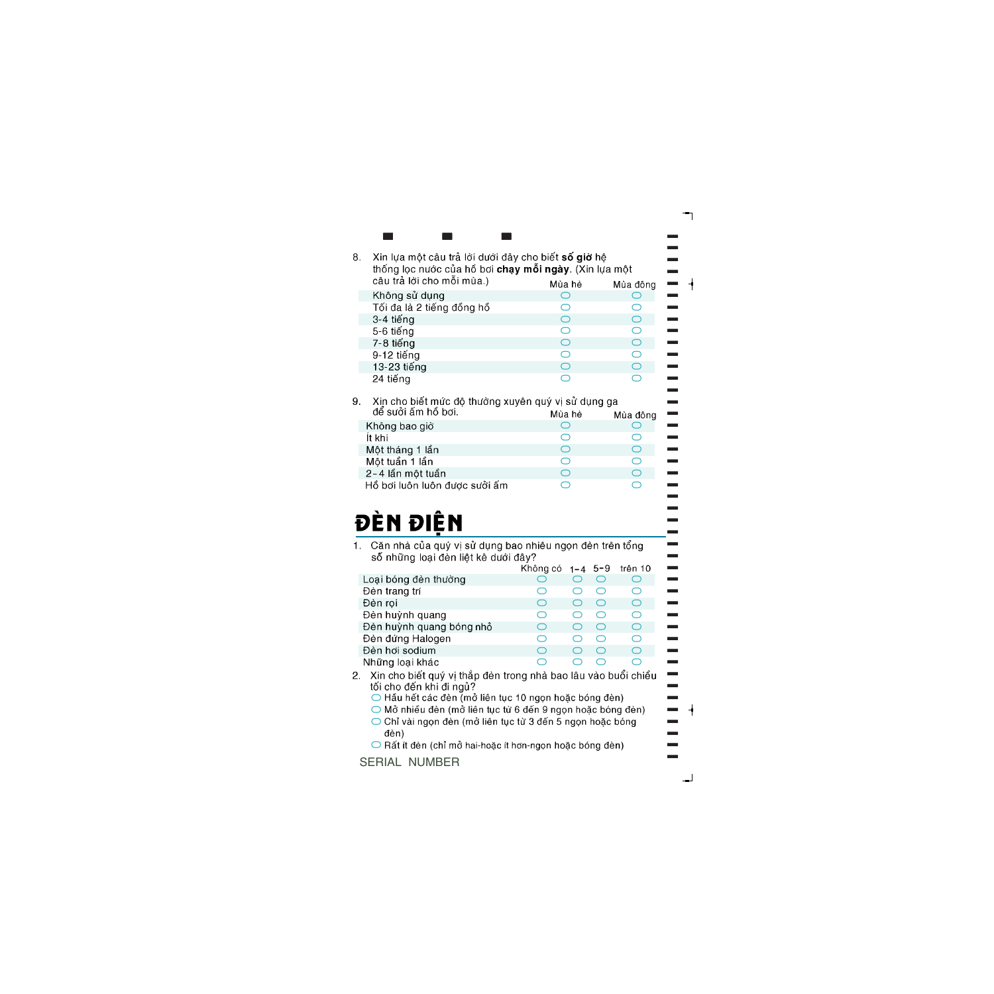|                           |                            | thống lọc nước của hồ bơi chạy mỗi ngày. (Xin lựa một<br>câu trả lời cho mỗi mùa.) |  |  |  |  |
|---------------------------|----------------------------|------------------------------------------------------------------------------------|--|--|--|--|
|                           | Mùa hè                     | Mùa đông                                                                           |  |  |  |  |
| Không sử dụng             |                            |                                                                                    |  |  |  |  |
| Tối đa là 2 tiếng đồng hồ |                            |                                                                                    |  |  |  |  |
| 3-4 tiếng                 | $\overline{(\phantom{a})}$ | ◯                                                                                  |  |  |  |  |
| 5-6 tiếng                 | O                          | ◠                                                                                  |  |  |  |  |
| 7-8 tiếng                 |                            | ⌒                                                                                  |  |  |  |  |
| 9-12 tiếng                | O                          | ◠                                                                                  |  |  |  |  |
| 13-23 tiếng               |                            |                                                                                    |  |  |  |  |
| 24 tiếng                  |                            |                                                                                    |  |  |  |  |

 $\bf{r}$   $\bf{r}$   $\bf{r}$   $\bf{r}$   $\bf{r}$   $\bf{r}$ 

 $\blacksquare$ 

 $\blacksquare$  $\blacksquare$  $\blacksquare$  $\blacksquare$  $\blacksquare$  $\blacksquare$  $\blacksquare$  $\blacksquare$ ]  $\overline{\phantom{a}}$  $\overline{\phantom{a}}$ ]  $\blacksquare$  $\blacksquare$  $\blacksquare$  $\blacksquare$  $\blacksquare$  $\blacksquare$  $\blacksquare$  $\equiv$  $\blacksquare$  $\blacksquare$  $\blacksquare$  $\overline{\phantom{0}}$  $\blacksquare$  $\blacksquare$  $\blacksquare$  $\blacksquare$ ]

| <u>uc ouvi alli liv ivil</u>  | Mua ne | Múa đông |
|-------------------------------|--------|----------|
| Không bao giờ                 |        |          |
| İt khi                        |        |          |
| Một tháng 1 lần               |        |          |
| Một tuần 1 lần                |        |          |
| 2-4 lần một tuần              |        |          |
| Hồ bơi luôn luôn được suởi ấm |        |          |
|                               |        |          |



Căn nhà của quý vị sử dụng bao nhiêu ngọn đèn trên tổng  $1<sup>1</sup>$ số những loại đèn liệt kê dưới đây?

|                          | Không có $1 - 4$ 5-9                          |  | trên 10 |
|--------------------------|-----------------------------------------------|--|---------|
| Loại bóng đèn thường     |                                               |  |         |
| Đèn trang trí            |                                               |  | ( )     |
| Đèn rọi                  | $\overline{C}$                                |  | ⌒       |
| Đèn huỳnh quang          | $\left( \begin{array}{c} \end{array} \right)$ |  | ⌒       |
| Đèn huỳnh quang bóng nhỏ | ◯                                             |  | ∩       |
| Đèn đứng Halogen         | ◯                                             |  | ◯       |
| Đèn hơi sodium           | $\Box$                                        |  | ⌒       |
| Những loại khác          |                                               |  |         |

- Xin cho biết quý vị thắp đèn trong nhà bao lâu vào buổi chiều  $2<sup>1</sup>$ tối cho đến khi đi ngủ?<br>○ Hầu hết các đèn (mở liên tục 10 ngọn hoặc bóng đèn)
	-
	- O Mở nhiều đèn (mở liên tục từ 6 đến 9 ngọn hoặc bóng đèn)
	- Chỉ vài ngọn đèn (mở liên tục từ 3 đến 5 ngọn hoặc bóng đèn)
	- Rất ít đèn (chỉ mở hai-hoặc ít hơn-ngọn hoặc bóng đèn)

## SERIAL NUMBER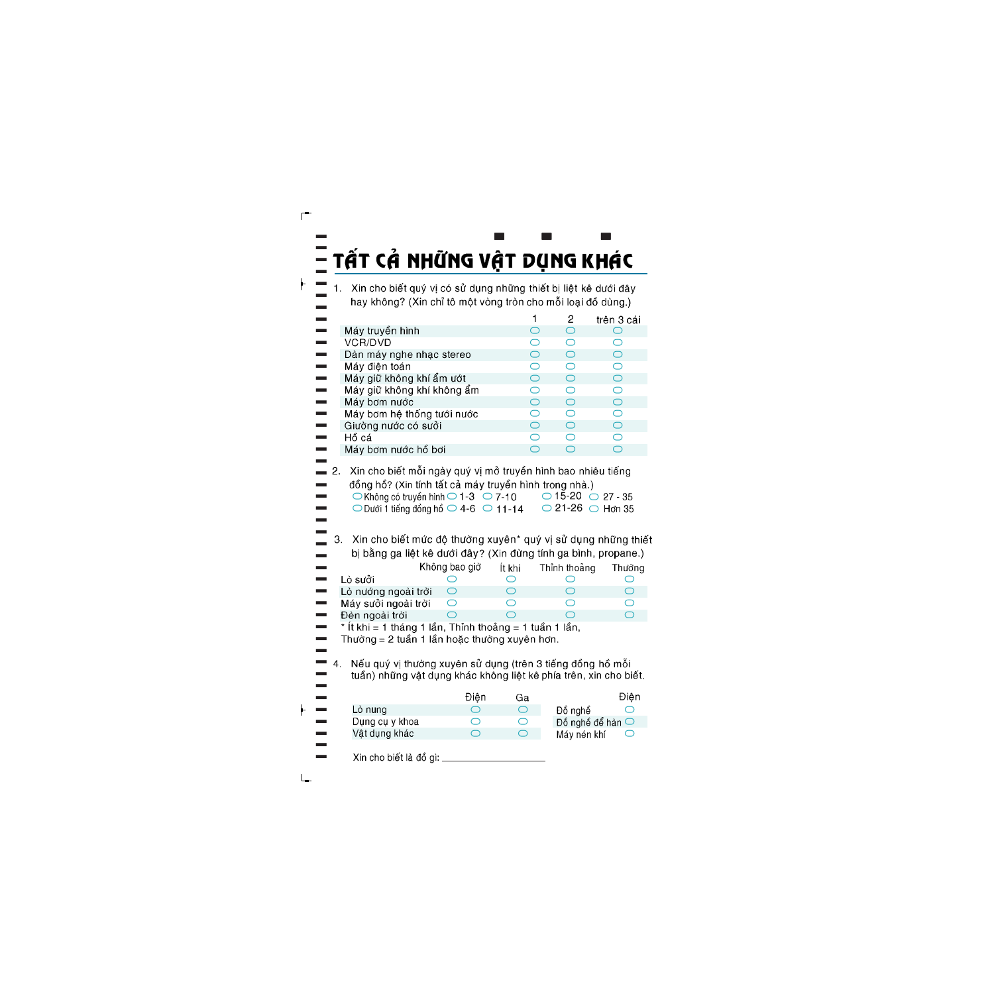# TẤT CẢ NHỮNG VẬT DỤNG KHÁC

Xin cho biết quý vị có sử dụng những thiết bị liệt kê dưới đây hay không? (Xin chỉ tô một vòng tròn cho mỗi loại đồ dùng.)

|                                                                                                                                |            | 2 | trên 3 cái |
|--------------------------------------------------------------------------------------------------------------------------------|------------|---|------------|
| Máy truyền hình                                                                                                                | ◯          | ◯ |            |
| VCR/DVD                                                                                                                        | $\bigcirc$ | ⌒ | $\bigcap$  |
| Dàn máy nghe nhạc stereo                                                                                                       | ◯          | ⌒ | ◯          |
| Máy điện toán                                                                                                                  | ⌒          | ⌒ | ◯          |
| Máy giữ không khí ẩm ướt                                                                                                       | ◯          | ◯ | ◯          |
| Máy giữ không khí không ẩm                                                                                                     | ⌒          | ◯ | ◯          |
| Máy bơm nước                                                                                                                   | ⌒          | ⌒ | ∩          |
| Máy bơm hệ thống tưới nước                                                                                                     | $\bigcirc$ | ⌒ | ⌒          |
| Giường nước có sưởi                                                                                                            | ∩          | ⌒ | ⌒          |
| Hồ cá                                                                                                                          | ⌒          | ⌒ | ∩          |
| Máy bơm nước hồ bơi                                                                                                            | ◯          | ⌒ | ⌒          |
| $\mathbf{V}$ in aha hif $\mathbf{A}$ ma $\widetilde{\mathbf{A}}$ i ma $\lambda$ ii ali $\lambda$ i ma $\lambda$ i ma $\lambda$ |            |   |            |

Xin cho biết môi ngày quý vị mở truyền hình bao nhiêu tiếng đồng hồ? (Xin tính tất cả máy truyền hình trong nhà.)  $\bigcirc$  Không có truyền hình  $\bigcirc$  1-3  $\bigcirc$  7-10  $\bigcirc$  15-20  $\bigcirc$  27 - 35  $\bigcirc$  Dưới 1 tiếng đồng hồ  $\bigcirc$  4-6  $\bigcirc$  11-14  $\bigcirc$  21-26  $\bigcirc$  Hơn 35

3. Xin cho biết mức độ thường xuyên\* quý vị sử dụng những thiết bị bằng ga liệt kê dưới đây? (Xin đừng tính ga bình, propane.)

|                                        | Không bao giờ | İt khi | Thỉnh thoảng | Thường |
|----------------------------------------|---------------|--------|--------------|--------|
| Lò sưởi                                |               |        |              |        |
| Lò nướng ngoài trời                    |               |        |              |        |
| Máy sưởi ngoài trời                    |               |        |              |        |
| Đèn ngoài trời                         |               |        |              |        |
| الأميد فينا والتواصيع فبنايات والمتحدث |               |        |              |        |

\* It khi = 1 tháng 1 lần, Thỉnh thoảng = 1 tuần 1 lần, Thường = 2 tuần 1 lần hoặc thường xuyên hơn.

 $\mathbf{4}$ Nếu quý vị thường xuyên sử dụng (trên 3 tiếng đồng hồ mỗi tuần) những vật dụng khác không liệt kê phía trên, xin cho biết.

Điên Điên Ga Lò nuna Đồ nghề  $\bigcap$  $\bigcap$  $\bigcap$ Dụng cụ y khoa  $\bigcirc$ Đồ nghề để hàn  $\bigcirc$  $\bigcap$ Vật dụng khác  $\bigcirc$  $\bigcap$ Máy nén khí Xin cho biết là đồ gì: